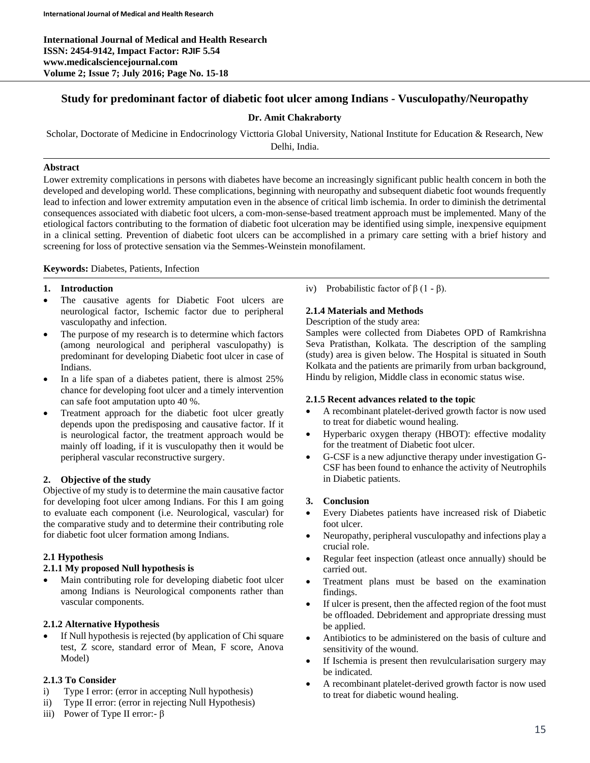**International Journal of Medical and Health Research ISSN: 2454-9142, Impact Factor: RJIF 5.54 www.medicalsciencejournal.com Volume 2; Issue 7; July 2016; Page No. 15-18**

# **Study for predominant factor of diabetic foot ulcer among Indians - Vusculopathy/Neuropathy**

## **Dr. Amit Chakraborty**

Scholar, Doctorate of Medicine in Endocrinology Victtoria Global University, National Institute for Education & Research, New Delhi, India.

### **Abstract**

Lower extremity complications in persons with diabetes have become an increasingly significant public health concern in both the developed and developing world. These complications, beginning with neuropathy and subsequent diabetic foot wounds frequently lead to infection and lower extremity amputation even in the absence of critical limb ischemia. In order to diminish the detrimental consequences associated with diabetic foot ulcers, a com-mon-sense-based treatment approach must be implemented. Many of the etiological factors contributing to the formation of diabetic foot ulceration may be identified using simple, inexpensive equipment in a clinical setting. Prevention of diabetic foot ulcers can be accomplished in a primary care setting with a brief history and screening for loss of protective sensation via the Semmes-Weinstein monofilament.

### **Keywords:** Diabetes, Patients, Infection

### **1. Introduction**

- The causative agents for Diabetic Foot ulcers are neurological factor, Ischemic factor due to peripheral vasculopathy and infection.
- The purpose of my research is to determine which factors (among neurological and peripheral vasculopathy) is predominant for developing Diabetic foot ulcer in case of Indians.
- In a life span of a diabetes patient, there is almost 25% chance for developing foot ulcer and a timely intervention can safe foot amputation upto 40 %.
- Treatment approach for the diabetic foot ulcer greatly depends upon the predisposing and causative factor. If it is neurological factor, the treatment approach would be mainly off loading, if it is vusculopathy then it would be peripheral vascular reconstructive surgery.

### **2. Objective of the study**

Objective of my study is to determine the main causative factor for developing foot ulcer among Indians. For this I am going to evaluate each component (i.e. Neurological, vascular) for the comparative study and to determine their contributing role for diabetic foot ulcer formation among Indians.

### **2.1 Hypothesis**

## **2.1.1 My proposed Null hypothesis is**

 Main contributing role for developing diabetic foot ulcer among Indians is Neurological components rather than vascular components.

### **2.1.2 Alternative Hypothesis**

 If Null hypothesis is rejected (by application of Chi square test, Z score, standard error of Mean, F score, Anova Model)

## **2.1.3 To Consider**

- i) Type I error: (error in accepting Null hypothesis)
- ii) Type II error: (error in rejecting Null Hypothesis)
- iii) Power of Type II error:- β

iv) Probabilistic factor of  $β$  (1 -  $β$ ).

## **2.1.4 Materials and Methods**

#### Description of the study area:

Samples were collected from Diabetes OPD of Ramkrishna Seva Pratisthan, Kolkata. The description of the sampling (study) area is given below. The Hospital is situated in South Kolkata and the patients are primarily from urban background, Hindu by religion, Middle class in economic status wise.

### **2.1.5 Recent advances related to the topic**

- A recombinant platelet-derived growth factor is now used to treat for diabetic wound healing.
- Hyperbaric oxygen therapy (HBOT): effective modality for the treatment of Diabetic foot ulcer.
- G-CSF is a new adjunctive therapy under investigation G-CSF has been found to enhance the activity of Neutrophils in Diabetic patients.

### **3. Conclusion**

- Every Diabetes patients have increased risk of Diabetic foot ulcer.
- Neuropathy, peripheral vusculopathy and infections play a crucial role.
- Regular feet inspection (atleast once annually) should be carried out.
- Treatment plans must be based on the examination findings.
- If ulcer is present, then the affected region of the foot must be offloaded. Debridement and appropriate dressing must be applied.
- Antibiotics to be administered on the basis of culture and sensitivity of the wound.
- If Ischemia is present then revulcularisation surgery may be indicated.
- A recombinant platelet-derived growth factor is now used to treat for diabetic wound healing.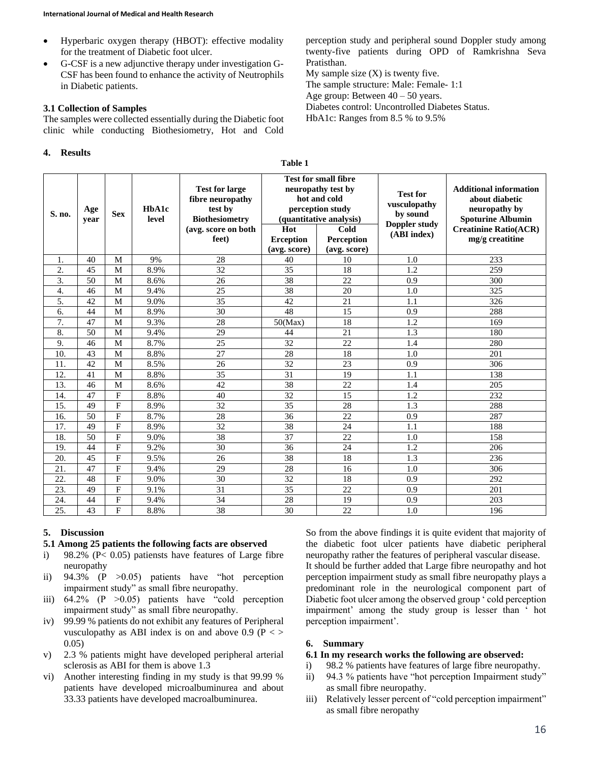- Hyperbaric oxygen therapy (HBOT): effective modality for the treatment of Diabetic foot ulcer.
- G-CSF is a new adjunctive therapy under investigation G-CSF has been found to enhance the activity of Neutrophils in Diabetic patients.

#### **3.1 Collection of Samples**

The samples were collected essentially during the Diabetic foot clinic while conducting Biothesiometry, Hot and Cold

#### **4. Results**

perception study and peripheral sound Doppler study among twenty-five patients during OPD of Ramkrishna Seva Pratisthan.

My sample size  $(X)$  is twenty five. The sample structure: Male: Female- 1:1 Age group: Between  $40 - 50$  years. Diabetes control: Uncontrolled Diabetes Status.

HbA1c: Ranges from 8.5 % to 9.5%

| S. no.           | Age<br>year | <b>Sex</b>     | HbA1c<br>level | <b>Test for large</b><br>fibre neuropathy<br>test by<br><b>Biothesiometry</b><br>(avg. score on both<br>feet) | <b>Test for small fibre</b><br>neuropathy test by<br>hot and cold<br>perception study<br>(quantitative analysis)<br>Hot<br>Cold<br>Perception<br><b>Erception</b><br>(avg. score)<br>(avg. score) |    | <b>Test for</b><br>vusculopathy<br>by sound<br>Doppler study<br>(ABI index) | <b>Additional information</b><br>about diabetic<br>neuropathy by<br><b>Spoturine Albumin</b><br><b>Creatinine Ratio(ACR)</b><br>mg/g creatitine |
|------------------|-------------|----------------|----------------|---------------------------------------------------------------------------------------------------------------|---------------------------------------------------------------------------------------------------------------------------------------------------------------------------------------------------|----|-----------------------------------------------------------------------------|-------------------------------------------------------------------------------------------------------------------------------------------------|
| 1.               | 40          | M              | 9%             | 28                                                                                                            | 40                                                                                                                                                                                                | 10 | 1.0                                                                         | 233                                                                                                                                             |
| 2.               | 45          | M              | 8.9%           | 32                                                                                                            | 35                                                                                                                                                                                                | 18 | 1.2                                                                         | 259                                                                                                                                             |
| 3.               | 50          | M              | 8.6%           | 26                                                                                                            | 38                                                                                                                                                                                                | 22 | 0.9                                                                         | 300                                                                                                                                             |
| $\overline{4}$ . | 46          | M              | 9.4%           | $\overline{25}$                                                                                               | $\overline{38}$                                                                                                                                                                                   | 20 | 1.0                                                                         | 325                                                                                                                                             |
| 5.               | 42          | M              | 9.0%           | 35                                                                                                            | 42                                                                                                                                                                                                | 21 | 1.1                                                                         | 326                                                                                                                                             |
| 6.               | 44          | M              | 8.9%           | 30                                                                                                            | 48                                                                                                                                                                                                | 15 | 0.9                                                                         | 288                                                                                                                                             |
| 7.               | 47          | M              | 9.3%           | 28                                                                                                            | 50(Max)                                                                                                                                                                                           | 18 | 1.2                                                                         | 169                                                                                                                                             |
| 8.               | 50          | M              | 9.4%           | 29                                                                                                            | 44                                                                                                                                                                                                | 21 | 1.3                                                                         | 180                                                                                                                                             |
| 9.               | 46          | M              | 8.7%           | 25                                                                                                            | 32                                                                                                                                                                                                | 22 | 1.4                                                                         | 280                                                                                                                                             |
| 10.              | 43          | M              | 8.8%           | 27                                                                                                            | 28                                                                                                                                                                                                | 18 | 1.0                                                                         | 201                                                                                                                                             |
| 11.              | 42          | M              | 8.5%           | 26                                                                                                            | 32                                                                                                                                                                                                | 23 | 0.9                                                                         | 306                                                                                                                                             |
| 12.              | 41          | M              | 8.8%           | 35                                                                                                            | 31                                                                                                                                                                                                | 19 | 1.1                                                                         | 138                                                                                                                                             |
| 13.              | 46          | M              | 8.6%           | 42                                                                                                            | 38                                                                                                                                                                                                | 22 | 1.4                                                                         | 205                                                                                                                                             |
| 14.              | 47          | F              | 8.8%           | 40                                                                                                            | 32                                                                                                                                                                                                | 15 | 1.2                                                                         | 232                                                                                                                                             |
| 15.              | 49          | F              | 8.9%           | 32                                                                                                            | 35                                                                                                                                                                                                | 28 | 1.3                                                                         | 288                                                                                                                                             |
| 16.              | 50          | $\mathbf F$    | 8.7%           | 28                                                                                                            | 36                                                                                                                                                                                                | 22 | 0.9                                                                         | 287                                                                                                                                             |
| 17.              | 49          | ${\rm F}$      | 8.9%           | 32                                                                                                            | 38                                                                                                                                                                                                | 24 | 1.1                                                                         | 188                                                                                                                                             |
| 18.              | 50          | $\mathbf{F}$   | 9.0%           | 38                                                                                                            | 37                                                                                                                                                                                                | 22 | 1.0                                                                         | 158                                                                                                                                             |
| 19.              | 44          | F              | 9.2%           | 30                                                                                                            | 36                                                                                                                                                                                                | 24 | 1.2                                                                         | 206                                                                                                                                             |
| 20.              | 45          | $\mathbf F$    | 9.5%           | 26                                                                                                            | 38                                                                                                                                                                                                | 18 | 1.3                                                                         | 236                                                                                                                                             |
| 21.              | 47          | $\mathbf F$    | 9.4%           | 29                                                                                                            | 28                                                                                                                                                                                                | 16 | 1.0                                                                         | 306                                                                                                                                             |
| 22.              | 48          | ${\rm F}$      | 9.0%           | 30                                                                                                            | 32                                                                                                                                                                                                | 18 | 0.9                                                                         | 292                                                                                                                                             |
| 23.              | 49          | $\overline{F}$ | 9.1%           | 31                                                                                                            | 35                                                                                                                                                                                                | 22 | 0.9                                                                         | 201                                                                                                                                             |
| 24.              | 44          | F              | 9.4%           | 34                                                                                                            | 28                                                                                                                                                                                                | 19 | 0.9                                                                         | 203                                                                                                                                             |
| 25.              | 43          | F              | 8.8%           | 38                                                                                                            | 30                                                                                                                                                                                                | 22 | 1.0                                                                         | 196                                                                                                                                             |

#### **Table 1**

## **5. Discussion**

#### **5.1 Among 25 patients the following facts are observed**

- i) 98.2% ( $P < 0.05$ ) patiensts have features of Large fibre neuropathy
- ii)  $94.3\%$  (P  $>0.05$ ) patients have "hot perception impairment study" as small fibre neuropathy.
- iii) 64.2% (P >0.05) patients have "cold perception impairment study" as small fibre neuropathy.
- iv) 99.99 % patients do not exhibit any features of Peripheral vusculopathy as ABI index is on and above 0.9 ( $P \leq$ ) 0.05)
- v) 2.3 % patients might have developed peripheral arterial sclerosis as ABI for them is above 1.3
- vi) Another interesting finding in my study is that 99.99 % patients have developed microalbuminurea and about 33.33 patients have developed macroalbuminurea.

So from the above findings it is quite evident that majority of the diabetic foot ulcer patients have diabetic peripheral neuropathy rather the features of peripheral vascular disease. It should be further added that Large fibre neuropathy and hot perception impairment study as small fibre neuropathy plays a predominant role in the neurological component part of Diabetic foot ulcer among the observed group ' cold perception impairment' among the study group is lesser than ' hot perception impairment'.

### **6. Summary**

#### **6.1 In my research works the following are observed:**

- i) 98.2 % patients have features of large fibre neuropathy.
- ii) 94.3 % patients have "hot perception Impairment study" as small fibre neuropathy.
- iii) Relatively lesser percent of "cold perception impairment" as small fibre neropathy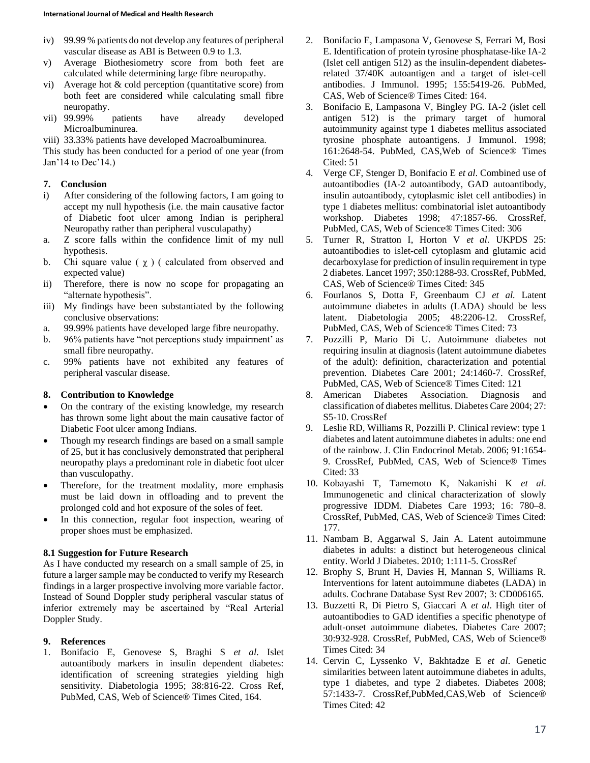- iv) 99.99 % patients do not develop any features of peripheral vascular disease as ABI is Between 0.9 to 1.3.
- v) Average Biothesiometry score from both feet are calculated while determining large fibre neuropathy.
- vi) Average hot & cold perception (quantitative score) from both feet are considered while calculating small fibre neuropathy.
- vii) 99.99% patients have already developed Microalbuminurea.
- viii) 33.33% patients have developed Macroalbuminurea.

This study has been conducted for a period of one year (from Jan'14 to Dec'14.)

### **7. Conclusion**

- i) After considering of the following factors, I am going to accept my null hypothesis (i.e. the main causative factor of Diabetic foot ulcer among Indian is peripheral Neuropathy rather than peripheral vusculapathy)
- a. Z score falls within the confidence limit of my null hypothesis.
- b. Chi square value  $(\chi)$  ( calculated from observed and expected value)
- ii) Therefore, there is now no scope for propagating an "alternate hypothesis".
- iii) My findings have been substantiated by the following conclusive observations:
- a. 99.99% patients have developed large fibre neuropathy.
- b. 96% patients have "not perceptions study impairment' as small fibre neuropathy.
- c. 99% patients have not exhibited any features of peripheral vascular disease.

### **8. Contribution to Knowledge**

- On the contrary of the existing knowledge, my research has thrown some light about the main causative factor of Diabetic Foot ulcer among Indians.
- Though my research findings are based on a small sample of 25, but it has conclusively demonstrated that peripheral neuropathy plays a predominant role in diabetic foot ulcer than vusculopathy.
- Therefore, for the treatment modality, more emphasis must be laid down in offloading and to prevent the prolonged cold and hot exposure of the soles of feet.
- In this connection, regular foot inspection, wearing of proper shoes must be emphasized.

### **8.1 Suggestion for Future Research**

As I have conducted my research on a small sample of 25, in future a larger sample may be conducted to verify my Research findings in a larger prospective involving more variable factor. Instead of Sound Doppler study peripheral vascular status of inferior extremely may be ascertained by "Real Arterial Doppler Study.

### **9. References**

1. Bonifacio E, Genovese S, Braghi S *et al*. Islet autoantibody markers in insulin dependent diabetes: identification of screening strategies yielding high sensitivity. Diabetologia 1995; 38:816-22. Cross Ref, PubMed, CAS, Web of Science® Times Cited, 164.

- 2. Bonifacio E, Lampasona V, Genovese S, Ferrari M, Bosi E. Identification of protein tyrosine phosphatase-like IA-2 (Islet cell antigen 512) as the insulin-dependent diabetesrelated 37/40K autoantigen and a target of islet-cell antibodies. J Immunol. 1995; 155:5419-26. PubMed, CAS, Web of Science® Times Cited: 164.
- 3. Bonifacio E, Lampasona V, Bingley PG. IA-2 (islet cell antigen 512) is the primary target of humoral autoimmunity against type 1 diabetes mellitus associated tyrosine phosphate autoantigens. J Immunol. 1998; 161:2648-54. PubMed, CAS,Web of Science® Times Cited: 51
- 4. Verge CF, Stenger D, Bonifacio E *et al*. Combined use of autoantibodies (IA-2 autoantibody, GAD autoantibody, insulin autoantibody, cytoplasmic islet cell antibodies) in type 1 diabetes mellitus: combinatorial islet autoantibody workshop. Diabetes 1998; 47:1857-66. CrossRef, PubMed, CAS, Web of Science® Times Cited: 306
- 5. Turner R, Stratton I, Horton V *et al*. UKPDS 25: autoantibodies to islet-cell cytoplasm and glutamic acid decarboxylase for prediction of insulin requirement in type 2 diabetes. Lancet 1997; 350:1288-93. CrossRef, PubMed, CAS, Web of Science® Times Cited: 345
- 6. Fourlanos S, Dotta F, Greenbaum CJ *et al.* Latent autoimmune diabetes in adults (LADA) should be less latent. Diabetologia 2005; 48:2206-12. CrossRef, PubMed, CAS, Web of Science® Times Cited: 73
- 7. Pozzilli P, Mario Di U. Autoimmune diabetes not requiring insulin at diagnosis (latent autoimmune diabetes of the adult): definition, characterization and potential prevention. Diabetes Care 2001; 24:1460-7. CrossRef, PubMed, CAS, Web of Science® Times Cited: 121
- 8. American Diabetes Association. Diagnosis and classification of diabetes mellitus. Diabetes Care 2004; 27: S5-10. CrossRef
- 9. Leslie RD, Williams R, Pozzilli P. Clinical review: type 1 diabetes and latent autoimmune diabetes in adults: one end of the rainbow. J. Clin Endocrinol Metab. 2006; 91:1654- 9. CrossRef, PubMed, CAS, Web of Science® Times Cited: 33
- 10. Kobayashi T, Tamemoto K, Nakanishi K *et al*. Immunogenetic and clinical characterization of slowly progressive IDDM. Diabetes Care 1993; 16: 780–8. CrossRef, PubMed, CAS, Web of Science® Times Cited: 177.
- 11. Nambam B, Aggarwal S, Jain A. Latent autoimmune diabetes in adults: a distinct but heterogeneous clinical entity. World J Diabetes. 2010; 1:111-5. CrossRef
- 12. Brophy S, Brunt H, Davies H, Mannan S, Williams R. Interventions for latent autoimmune diabetes (LADA) in adults. Cochrane Database Syst Rev 2007; 3: CD006165.
- 13. Buzzetti R, Di Pietro S, Giaccari A *et al*. High titer of autoantibodies to GAD identifies a specific phenotype of adult-onset autoimmune diabetes. Diabetes Care 2007; 30:932-928. CrossRef, PubMed, CAS, Web of Science® Times Cited: 34
- 14. Cervin C, Lyssenko V, Bakhtadze E *et al*. Genetic similarities between latent autoimmune diabetes in adults, type 1 diabetes, and type 2 diabetes. Diabetes 2008; 57:1433-7. CrossRef,PubMed,CAS,Web of Science® Times Cited: 42